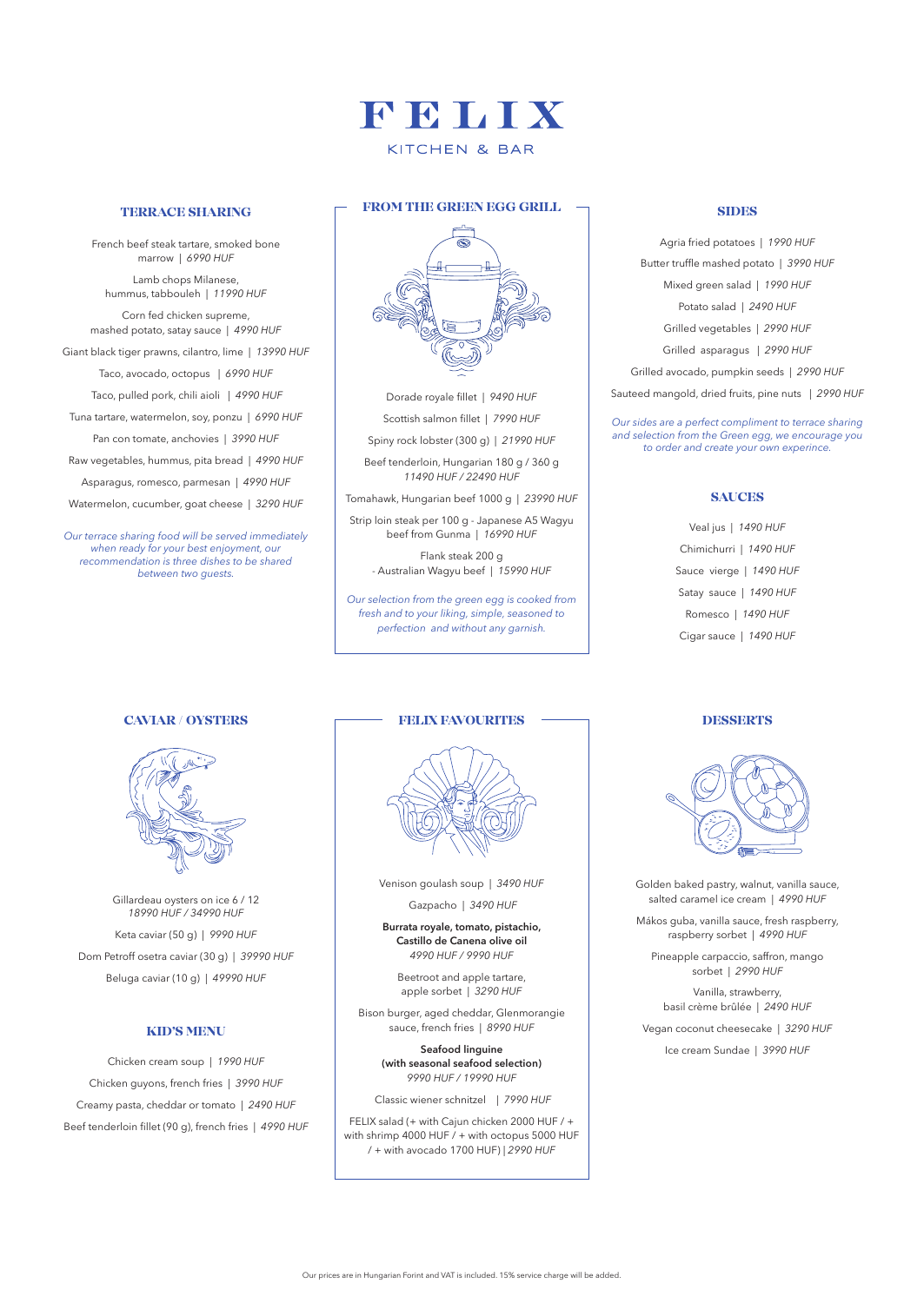## FEITX KITCHEN & BAR

#### **TERRACE SHARING**

French beef steak tartare, smoked bone marrow | 6990 HUF

Lamb chops Milanese, hummus, tabbouleh | 11990 HUF

Corn fed chicken supreme, mashed potato, satay sauce | 4990 HUF Giant black tiger prawns, cilantro, lime | 13990 HUF Taco, avocado, octopus | *6990 HUF* Taco, pulled pork, chili aioli | 4990 HUF Tuna tartare, watermelon, soy, ponzu | 6990 HUF Pan con tomate, anchovies | 3990 HUF Raw vegetables, hummus, pita bread | 4990 HUF Asparagus, romesco, parmesan | 4990 HUF Watermelon, cucumber, goat cheese | 3290 HUF

*Our terrace sharing food will be served immediately when ready for your best enjoyment, our recommendation is three dishes to be shared between two guests.*



Dorade royale fillet | 9490 HUF Scottish salmon fillet | 7990 HUF

Spiny rock lobster (300 g) | 21990 HUF

Beef tenderloin, Hungarian 180 g / 360 g *11490 HUF / 22490 HUF*

Tomahawk, Hungarian beef 1000 g | 23990 HUF

Strip loin steak per 100 g - Japanese A5 Wagyu beef from Gunma | 16990 HUF

> Flank steak 200 g - Australian Wagyu beef | 15990 HUF

*Our selection from the green egg is cooked from fresh and to your liking, simple, seasoned to perfection and without any garnish.*

#### **CAVIAR / OYSTERS**



Gillardeau oysters on ice 6 / 12 *18990 HUF / 34990 HUF* Keta caviar (50 g) | 9990 HUF Dom Petroff osetra caviar (30 g) | 39990 HUF Beluga caviar (10 g) | 49990 HUF

### **KID'S MENU**

Chicken cream soup | 1990 HUF Chicken guyons, french fries | 3990 HUF Creamy pasta, cheddar or tomato | 2490 HUF Beef tenderloin fillet (90 g), french fries | 4990 HUF

#### **FELIX FAVOURITES**



Venison goulash soup | 3490 HUF

Gazpacho | 3490 HUF

**Burrata royale, tomato, pistachio, Castillo de Canena olive oil** *4990 HUF / 9990 HUF*

Beetroot and apple tartare, apple sorbet | *3290 HUF*

Bison burger, aged cheddar, Glenmorangie sauce, french fries | 8990 HUF

> **Seafood linguine (with seasonal seafood selection)** *9990 HUF / 19990 HUF*

Classic wiener schnitzel | 7990 HUF

FELIX salad (+ with Cajun chicken 2000 HUF / + with shrimp 4000 HUF  $/$  + with octopus 5000 HUF / + with avocado 1700 HUF) | 2990 HUF

#### **SIDES**

Agria fried potatoes | *1990 HUF* Butter truffle mashed potato | 3990 HUF Mixed green salad | *1990 HUF* Potato salad | *2490 HUF*

Grilled vegetables | *2990 HUF*

Grilled asparagus | *2990 HUF*

Grilled avocado, pumpkin seeds | 2990 HUF

Sauteed mangold, dried fruits, pine nuts | 2990 HUF

*Our sides are a perfect compliment to terrace sharing and selection from the Green egg, we encourage you to order and create your own experince.*

#### **SAUCES**

Veal jus | *1490 HUF* Chimichurri | 1490 HUF Sauce vierge | *1490 HUF* Satay sauce | *1490 HUF* Romesco | 1490 HUF Cigar sauce | *1490 HUF*

#### **DESSERTS**



Golden baked pastry, walnut, vanilla sauce, salted caramel ice cream | 4990 HUF

Mákos guba, vanilla sauce, fresh raspberry, raspberry sorbet | *4990 HUF*

Pineapple carpaccio, saffron, mango sorbet | *2990 HUF*

Vanilla, strawberry, basil crème brûlée | 2490 HUF

Vegan coconut cheesecake | 3290 HUF lce cream Sundae | 3990 HUF